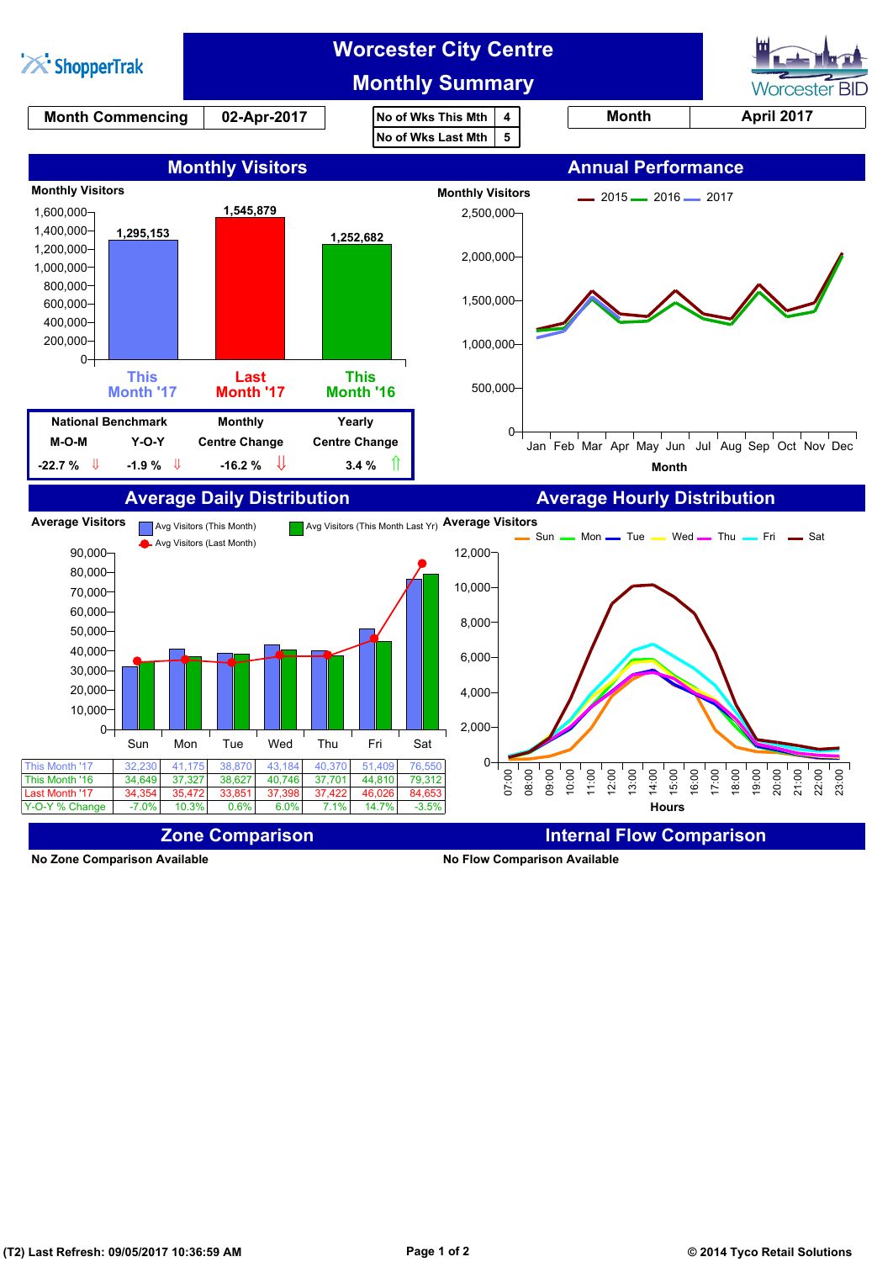

**No Zone Comparison Available No Flow Comparison Available**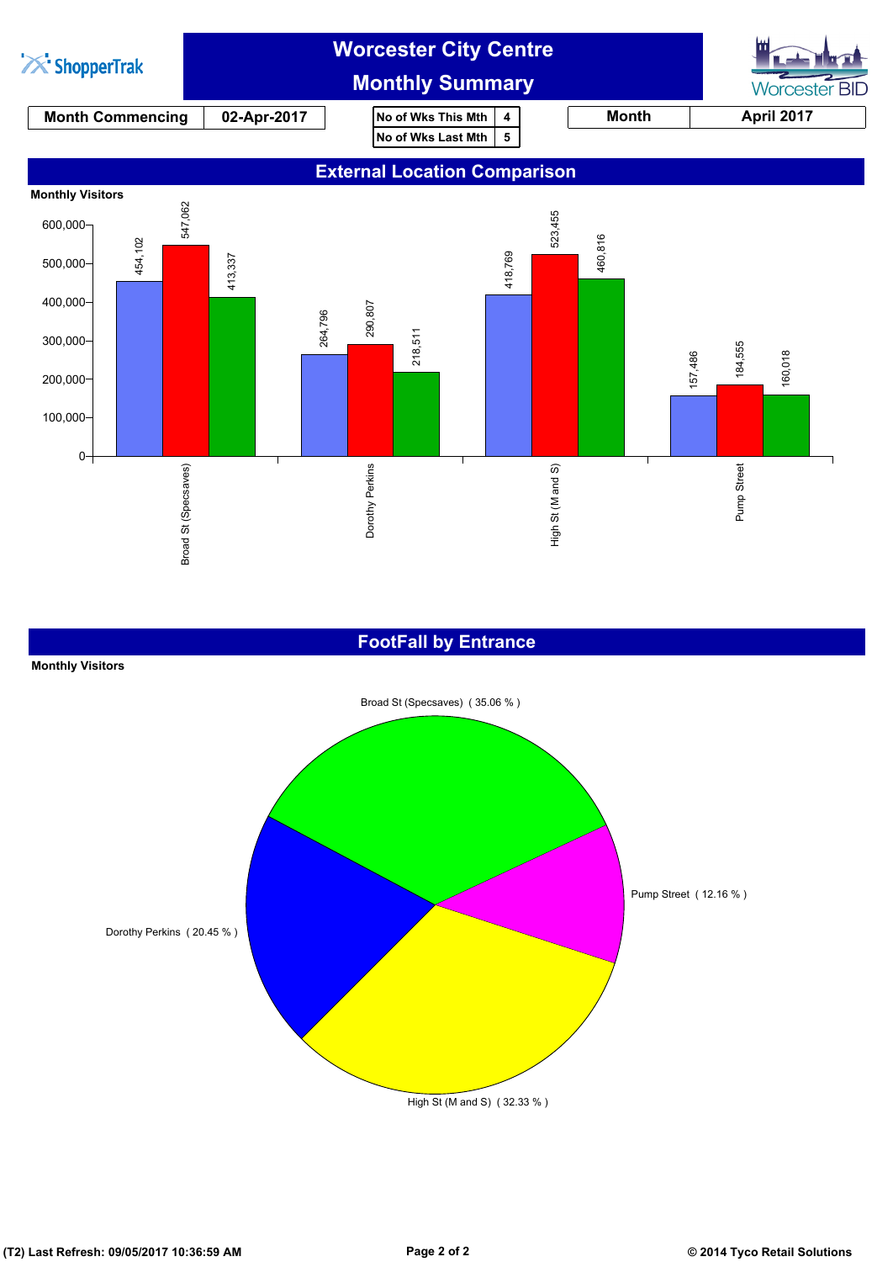

## **FootFall by Entrance**